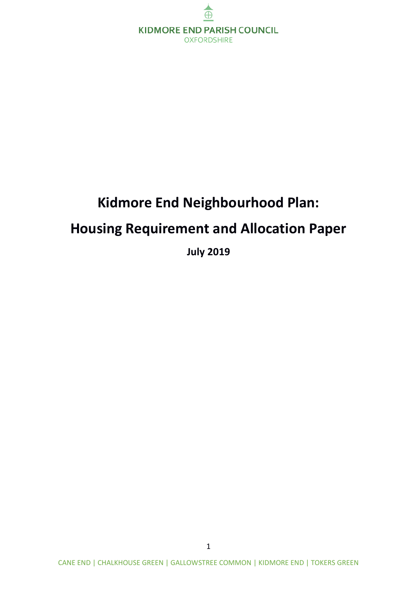

# **Kidmore End Neighbourhood Plan: Housing Requirement and Allocation Paper**

**July 2019**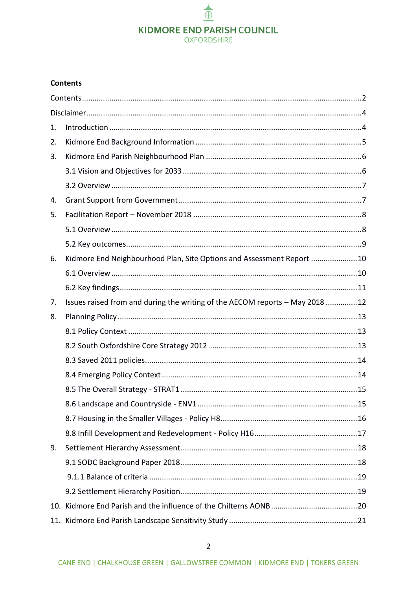### $\triangleq$ **KIDMORE END PARISH COUNCIL OXFORDSHIRE**

#### <span id="page-1-0"></span>**Contents**

| 1. |                                                                              |    |
|----|------------------------------------------------------------------------------|----|
| 2. |                                                                              |    |
| 3. |                                                                              |    |
|    |                                                                              |    |
|    |                                                                              |    |
| 4. |                                                                              |    |
| 5. |                                                                              |    |
|    |                                                                              |    |
|    |                                                                              |    |
| 6. | Kidmore End Neighbourhood Plan, Site Options and Assessment Report 10        |    |
|    |                                                                              |    |
|    |                                                                              |    |
| 7. | Issues raised from and during the writing of the AECOM reports - May 2018 12 |    |
| 8. |                                                                              |    |
|    |                                                                              |    |
|    |                                                                              |    |
|    |                                                                              |    |
|    |                                                                              |    |
|    |                                                                              |    |
|    |                                                                              | 15 |
|    |                                                                              |    |
|    |                                                                              |    |
| 9. |                                                                              |    |
|    |                                                                              |    |
|    |                                                                              |    |
|    |                                                                              |    |
|    |                                                                              |    |
|    |                                                                              |    |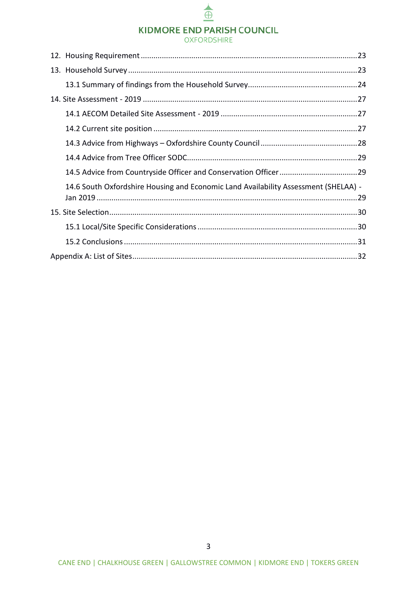### **KIDMORE END PARISH COUNCIL**

 $\triangleq$ 

#### **OXFORDSHIRE**

| 14.6 South Oxfordshire Housing and Economic Land Availability Assessment (SHELAA) - |  |
|-------------------------------------------------------------------------------------|--|
|                                                                                     |  |
|                                                                                     |  |
|                                                                                     |  |
|                                                                                     |  |
|                                                                                     |  |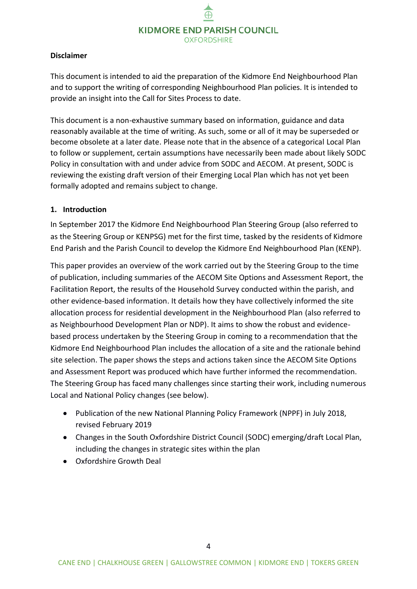#### <span id="page-3-0"></span>**Disclaimer**

This document is intended to aid the preparation of the Kidmore End Neighbourhood Plan and to support the writing of corresponding Neighbourhood Plan policies. It is intended to provide an insight into the Call for Sites Process to date.

This document is a non-exhaustive summary based on information, guidance and data reasonably available at the time of writing. As such, some or all of it may be superseded or become obsolete at a later date. Please note that in the absence of a categorical Local Plan to follow or supplement, certain assumptions have necessarily been made about likely SODC Policy in consultation with and under advice from SODC and AECOM. At present, SODC is reviewing the existing draft version of their Emerging Local Plan which has not yet been formally adopted and remains subject to change.

#### <span id="page-3-1"></span>**1. Introduction**

In September 2017 the Kidmore End Neighbourhood Plan Steering Group (also referred to as the Steering Group or KENPSG) met for the first time, tasked by the residents of Kidmore End Parish and the Parish Council to develop the Kidmore End Neighbourhood Plan (KENP).

This paper provides an overview of the work carried out by the Steering Group to the time of publication, including summaries of the AECOM Site Options and Assessment Report, the Facilitation Report, the results of the Household Survey conducted within the parish, and other evidence-based information. It details how they have collectively informed the site allocation process for residential development in the Neighbourhood Plan (also referred to as Neighbourhood Development Plan or NDP). It aims to show the robust and evidencebased process undertaken by the Steering Group in coming to a recommendation that the Kidmore End Neighbourhood Plan includes the allocation of a site and the rationale behind site selection. The paper shows the steps and actions taken since the AECOM Site Options and Assessment Report was produced which have further informed the recommendation. The Steering Group has faced many challenges since starting their work, including numerous Local and National Policy changes (see below).

- Publication of the new National Planning Policy Framework (NPPF) in July 2018, revised February 2019
- Changes in the South Oxfordshire District Council (SODC) emerging/draft Local Plan, including the changes in strategic sites within the plan
- Oxfordshire Growth Deal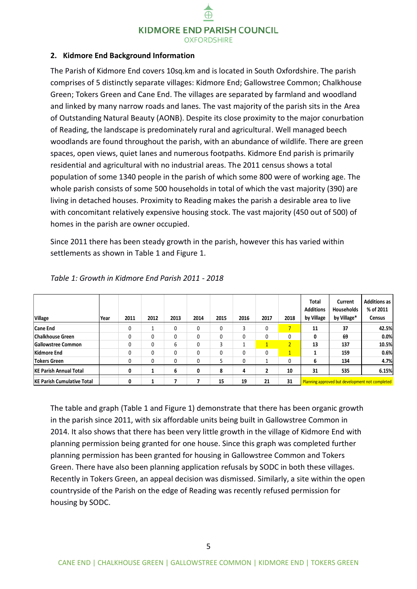#### <span id="page-4-0"></span>**2. Kidmore End Background Information**

The Parish of Kidmore End covers 10sq.km and is located in South Oxfordshire. The parish comprises of 5 distinctly separate villages: Kidmore End; Gallowstree Common; Chalkhouse Green; Tokers Green and Cane End. The villages are separated by farmland and woodland and linked by many narrow roads and lanes. The vast majority of the parish sits in the Area of Outstanding Natural Beauty (AONB). Despite its close proximity to the major conurbation of Reading, the landscape is predominately rural and agricultural. Well managed beech woodlands are found throughout the parish, with an abundance of wildlife. There are green spaces, open views, quiet lanes and numerous footpaths. Kidmore End parish is primarily residential and agricultural with no industrial areas. The 2011 census shows a total population of some 1340 people in the parish of which some 800 were of working age. The whole parish consists of some 500 households in total of which the vast majority (390) are living in detached houses. Proximity to Reading makes the parish a desirable area to live with concomitant relatively expensive housing stock. The vast majority (450 out of 500) of homes in the parish are owner occupied.

Since 2011 there has been steady growth in the parish, however this has varied within settlements as shown in Table 1 and Figure 1.

| <b>Village</b>                    | Year | 2011 | 2012 | 2013         | 2014 | 2015 | 2016 | 2017           | 2018           | Total<br><b>Additions</b><br>by Village         | Current<br><b>Households</b><br>by Village* | <b>Additions as</b><br>% of 2011<br><b>Census</b> |
|-----------------------------------|------|------|------|--------------|------|------|------|----------------|----------------|-------------------------------------------------|---------------------------------------------|---------------------------------------------------|
| <b>Cane End</b>                   |      | 0    |      | 0            | 0    | 0    |      | $\mathbf{0}$   |                | 11                                              | 37                                          | 42.5%                                             |
| <b>Chalkhouse Green</b>           |      | 0    | 0    | $\mathbf{0}$ | 0    | 0    | 0    | 0              | 0              | 0                                               | 69                                          | 0.0%                                              |
| <b>Gallowstree Common</b>         |      | 0    | 0    | 6            | 0    |      |      |                | $\overline{2}$ | 13                                              | 137                                         | 10.5%                                             |
| Kidmore End                       |      | 0    | 0    | 0            | 0    | 0    | 0    | 0              | $1^{\circ}$    |                                                 | 159                                         | 0.6%                                              |
| Tokers Green                      |      | 0    | 0    | 0            | 0    |      | 0    | 1              | 0              | 6                                               | 134                                         | 4.7%                                              |
| <b>KE Parish Annual Total</b>     |      | 0    |      | 6            | 0    | 8    | 4    | $\overline{2}$ | 10             | 31                                              | 535                                         | 6.15%                                             |
| <b>KE Parish Cumulative Total</b> |      | 0    |      |              |      | 15   | 19   | 21             | 31             | Planning approved but development not completed |                                             |                                                   |

*Table 1: Growth in Kidmore End Parish 2011 - 2018*

The table and graph (Table 1 and Figure 1) demonstrate that there has been organic growth in the parish since 2011, with six affordable units being built in Gallowstree Common in 2014. It also shows that there has been very little growth in the village of Kidmore End with planning permission being granted for one house. Since this graph was completed further planning permission has been granted for housing in Gallowstree Common and Tokers Green. There have also been planning application refusals by SODC in both these villages. Recently in Tokers Green, an appeal decision was dismissed. Similarly, a site within the open countryside of the Parish on the edge of Reading was recently refused permission for housing by SODC.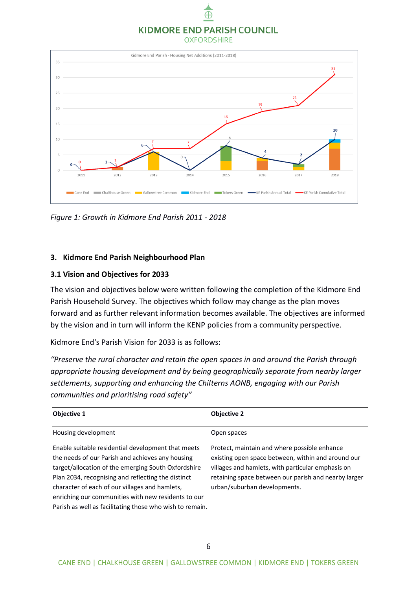### **KIDMORE END PARISH COUNCIL**

Æ

**OXFORDSHIRE** 



*Figure 1: Growth in Kidmore End Parish 2011 - 2018*

#### <span id="page-5-0"></span>**3. Kidmore End Parish Neighbourhood Plan**

#### <span id="page-5-1"></span>**3.1 Vision and Objectives for 2033**

The vision and objectives below were written following the completion of the Kidmore End Parish Household Survey. The objectives which follow may change as the plan moves forward and as further relevant information becomes available. The objectives are informed by the vision and in turn will inform the KENP policies from a community perspective.

Kidmore End's Parish Vision for 2033 is as follows:

*"Preserve the rural character and retain the open spaces in and around the Parish through appropriate housing development and by being geographically separate from nearby larger settlements, supporting and enhancing the Chilterns AONB, engaging with our Parish communities and prioritising road safety"*

| <b>Objective 1</b>                                                                                                                                                                                                                                                                                                                                                                       | <b>Objective 2</b>                                                                                                                                                                                                                              |
|------------------------------------------------------------------------------------------------------------------------------------------------------------------------------------------------------------------------------------------------------------------------------------------------------------------------------------------------------------------------------------------|-------------------------------------------------------------------------------------------------------------------------------------------------------------------------------------------------------------------------------------------------|
| Housing development                                                                                                                                                                                                                                                                                                                                                                      | Open spaces                                                                                                                                                                                                                                     |
| Enable suitable residential development that meets<br>the needs of our Parish and achieves any housing<br>target/allocation of the emerging South Oxfordshire<br>Plan 2034, recognising and reflecting the distinct<br>character of each of our villages and hamlets,<br>enriching our communities with new residents to our<br>Parish as well as facilitating those who wish to remain. | Protect, maintain and where possible enhance<br>existing open space between, within and around our<br>villages and hamlets, with particular emphasis on<br>retaining space between our parish and nearby larger<br>urban/suburban developments. |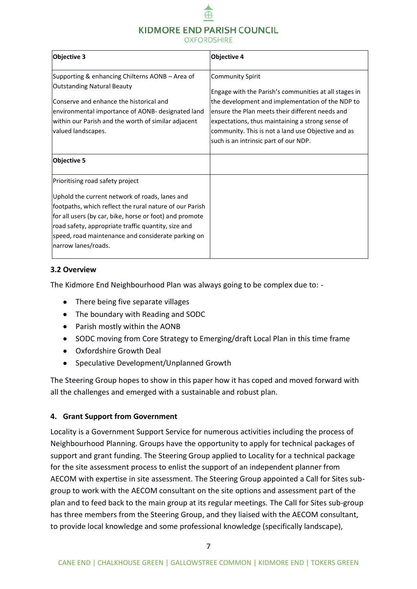### KIDMORE END PARISH COUNCIL

**OXFORDSHIRE** 

| <b>Objective 3</b>                                                                                                                                                                                                                                                                                                                           | <b>Objective 4</b>                                                                                                                                                                                                                                                                                                                         |
|----------------------------------------------------------------------------------------------------------------------------------------------------------------------------------------------------------------------------------------------------------------------------------------------------------------------------------------------|--------------------------------------------------------------------------------------------------------------------------------------------------------------------------------------------------------------------------------------------------------------------------------------------------------------------------------------------|
| Supporting & enhancing Chilterns AONB - Area of<br><b>Outstanding Natural Beauty</b><br>Conserve and enhance the historical and<br>environmental importance of AONB- designated land<br>within our Parish and the worth of similar adjacent<br>valued landscapes.                                                                            | <b>Community Spirit</b><br>Engage with the Parish's communities at all stages in<br>the development and implementation of the NDP to<br>ensure the Plan meets their different needs and<br>expectations, thus maintaining a strong sense of<br>community. This is not a land use Objective and as<br>such is an intrinsic part of our NDP. |
| <b>Objective 5</b>                                                                                                                                                                                                                                                                                                                           |                                                                                                                                                                                                                                                                                                                                            |
| Prioritising road safety project<br>Uphold the current network of roads, lanes and<br>footpaths, which reflect the rural nature of our Parish<br>for all users (by car, bike, horse or foot) and promote<br>road safety, appropriate traffic quantity, size and<br>speed, road maintenance and considerate parking on<br>narrow lanes/roads. |                                                                                                                                                                                                                                                                                                                                            |

#### <span id="page-6-0"></span>**3.2 Overview**

The Kidmore End Neighbourhood Plan was always going to be complex due to: -

- There being five separate villages
- The boundary with Reading and SODC
- Parish mostly within the AONB
- SODC moving from Core Strategy to Emerging/draft Local Plan in this time frame
- Oxfordshire Growth Deal
- Speculative Development/Unplanned Growth

The Steering Group hopes to show in this paper how it has coped and moved forward with all the challenges and emerged with a sustainable and robust plan.

#### <span id="page-6-1"></span>**4. Grant Support from Government**

Locality is a Government Support Service for numerous activities including the process of Neighbourhood Planning. Groups have the opportunity to apply for technical packages of support and grant funding. The Steering Group applied to Locality for a technical package for the site assessment process to enlist the support of an independent planner from AECOM with expertise in site assessment. The Steering Group appointed a Call for Sites subgroup to work with the AECOM consultant on the site options and assessment part of the plan and to feed back to the main group at its regular meetings. The Call for Sites sub-group has three members from the Steering Group, and they liaised with the AECOM consultant, to provide local knowledge and some professional knowledge (specifically landscape),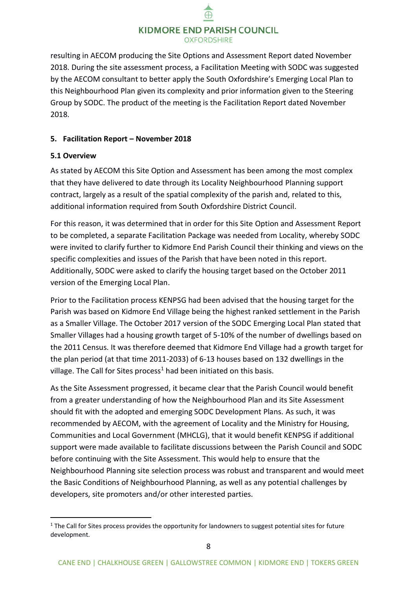resulting in AECOM producing the Site Options and Assessment Report dated November 2018. During the site assessment process, a Facilitation Meeting with SODC was suggested by the AECOM consultant to better apply the South Oxfordshire's Emerging Local Plan to this Neighbourhood Plan given its complexity and prior information given to the Steering Group by SODC. The product of the meeting is the Facilitation Report dated November 2018.

#### <span id="page-7-0"></span>**5. Facilitation Report – November 2018**

#### <span id="page-7-1"></span>**5.1 Overview**

-

As stated by AECOM this Site Option and Assessment has been among the most complex that they have delivered to date through its Locality Neighbourhood Planning support contract, largely as a result of the spatial complexity of the parish and, related to this, additional information required from South Oxfordshire District Council.

For this reason, it was determined that in order for this Site Option and Assessment Report to be completed, a separate Facilitation Package was needed from Locality, whereby SODC were invited to clarify further to Kidmore End Parish Council their thinking and views on the specific complexities and issues of the Parish that have been noted in this report. Additionally, SODC were asked to clarify the housing target based on the October 2011 version of the Emerging Local Plan.

Prior to the Facilitation process KENPSG had been advised that the housing target for the Parish was based on Kidmore End Village being the highest ranked settlement in the Parish as a Smaller Village. The October 2017 version of the SODC Emerging Local Plan stated that Smaller Villages had a housing growth target of 5-10% of the number of dwellings based on the 2011 Census. It was therefore deemed that Kidmore End Village had a growth target for the plan period (at that time 2011-2033) of 6-13 houses based on 132 dwellings in the village. The Call for Sites process<sup>1</sup> had been initiated on this basis.

As the Site Assessment progressed, it became clear that the Parish Council would benefit from a greater understanding of how the Neighbourhood Plan and its Site Assessment should fit with the adopted and emerging SODC Development Plans. As such, it was recommended by AECOM, with the agreement of Locality and the Ministry for Housing, Communities and Local Government (MHCLG), that it would benefit KENPSG if additional support were made available to facilitate discussions between the Parish Council and SODC before continuing with the Site Assessment. This would help to ensure that the Neighbourhood Planning site selection process was robust and transparent and would meet the Basic Conditions of Neighbourhood Planning, as well as any potential challenges by developers, site promoters and/or other interested parties.

 $1$  The Call for Sites process provides the opportunity for landowners to suggest potential sites for future development.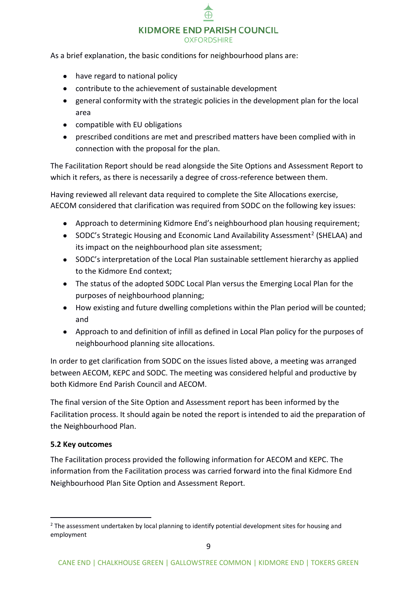As a brief explanation, the basic conditions for neighbourhood plans are:

- have regard to national policy
- contribute to the achievement of sustainable development
- general conformity with the strategic policies in the development plan for the local area
- compatible with EU obligations
- prescribed conditions are met and prescribed matters have been complied with in connection with the proposal for the plan.

The Facilitation Report should be read alongside the Site Options and Assessment Report to which it refers, as there is necessarily a degree of cross-reference between them.

Having reviewed all relevant data required to complete the Site Allocations exercise, AECOM considered that clarification was required from SODC on the following key issues:

- Approach to determining Kidmore End's neighbourhood plan housing requirement;
- SODC's Strategic Housing and Economic Land Availability Assessment<sup>2</sup> (SHELAA) and its impact on the neighbourhood plan site assessment;
- SODC's interpretation of the Local Plan sustainable settlement hierarchy as applied to the Kidmore End context;
- The status of the adopted SODC Local Plan versus the Emerging Local Plan for the purposes of neighbourhood planning;
- How existing and future dwelling completions within the Plan period will be counted; and
- Approach to and definition of infill as defined in Local Plan policy for the purposes of neighbourhood planning site allocations.

In order to get clarification from SODC on the issues listed above, a meeting was arranged between AECOM, KEPC and SODC. The meeting was considered helpful and productive by both Kidmore End Parish Council and AECOM.

The final version of the Site Option and Assessment report has been informed by the Facilitation process. It should again be noted the report is intended to aid the preparation of the Neighbourhood Plan.

#### <span id="page-8-0"></span>**5.2 Key outcomes**

-

The Facilitation process provided the following information for AECOM and KEPC. The information from the Facilitation process was carried forward into the final Kidmore End Neighbourhood Plan Site Option and Assessment Report.

<sup>&</sup>lt;sup>2</sup> The assessment undertaken by local planning to identify potential development sites for housing and employment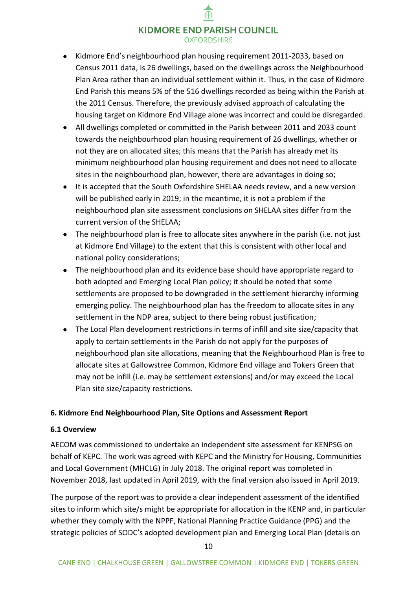# KIDMORE END PARISH COUNCIL

- **OXFORDSHIRE**
- Kidmore End's neighbourhood plan housing requirement 2011-2033, based on Census 2011 data, is 26 dwellings, based on the dwellings across the Neighbourhood Plan Area rather than an individual settlement within it. Thus, in the case of Kidmore End Parish this means 5% of the 516 dwellings recorded as being within the Parish at the 2011 Census. Therefore, the previously advised approach of calculating the housing target on Kidmore End Village alone was incorrect and could be disregarded.
- All dwellings completed or committed in the Parish between 2011 and 2033 count towards the neighbourhood plan housing requirement of 26 dwellings, whether or not they are on allocated sites; this means that the Parish has already met its minimum neighbourhood plan housing requirement and does not need to allocate sites in the neighbourhood plan, however, there are advantages in doing so;
- It is accepted that the South Oxfordshire SHELAA needs review, and a new version will be published early in 2019; in the meantime, it is not a problem if the neighbourhood plan site assessment conclusions on SHELAA sites differ from the current version of the SHELAA;
- The neighbourhood plan is free to allocate sites anywhere in the parish (i.e. not just at Kidmore End Village) to the extent that this is consistent with other local and national policy considerations;
- The neighbourhood plan and its evidence base should have appropriate regard to both adopted and Emerging Local Plan policy; it should be noted that some settlements are proposed to be downgraded in the settlement hierarchy informing emerging policy. The neighbourhood plan has the freedom to allocate sites in any settlement in the NDP area, subject to there being robust justification;
- The Local Plan development restrictions in terms of infill and site size/capacity that apply to certain settlements in the Parish do not apply for the purposes of neighbourhood plan site allocations, meaning that the Neighbourhood Plan is free to allocate sites at Gallowstree Common, Kidmore End village and Tokers Green that may not be infill (i.e. may be settlement extensions) and/or may exceed the Local Plan site size/capacity restrictions.

#### <span id="page-9-0"></span>**6. Kidmore End Neighbourhood Plan, Site Options and Assessment Report**

#### <span id="page-9-1"></span>**6.1 Overview**

AECOM was commissioned to undertake an independent site assessment for KENPSG on behalf of KEPC. The work was agreed with KEPC and the Ministry for Housing, Communities and Local Government (MHCLG) in July 2018. The original report was completed in November 2018, last updated in April 2019, with the final version also issued in April 2019.

The purpose of the report was to provide a clear independent assessment of the identified sites to inform which site/s might be appropriate for allocation in the KENP and, in particular whether they comply with the NPPF, National Planning Practice Guidance (PPG) and the strategic policies of SODC's adopted development plan and Emerging Local Plan (details on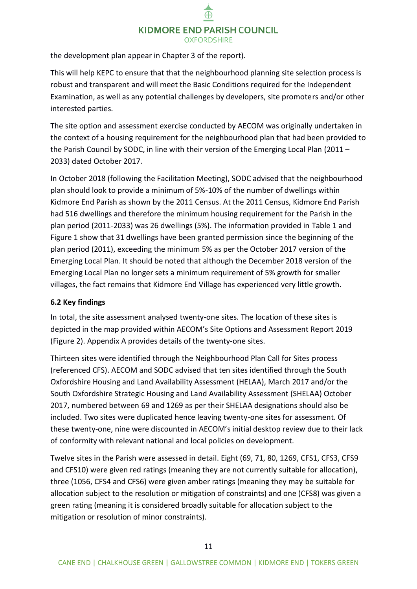the development plan appear in Chapter 3 of the report).

This will help KEPC to ensure that that the neighbourhood planning site selection process is robust and transparent and will meet the Basic Conditions required for the Independent Examination, as well as any potential challenges by developers, site promoters and/or other interested parties.

The site option and assessment exercise conducted by AECOM was originally undertaken in the context of a housing requirement for the neighbourhood plan that had been provided to the Parish Council by SODC, in line with their version of the Emerging Local Plan (2011 – 2033) dated October 2017.

In October 2018 (following the Facilitation Meeting), SODC advised that the neighbourhood plan should look to provide a minimum of 5%-10% of the number of dwellings within Kidmore End Parish as shown by the 2011 Census. At the 2011 Census, Kidmore End Parish had 516 dwellings and therefore the minimum housing requirement for the Parish in the plan period (2011-2033) was 26 dwellings (5%). The information provided in Table 1 and Figure 1 show that 31 dwellings have been granted permission since the beginning of the plan period (2011), exceeding the minimum 5% as per the October 2017 version of the Emerging Local Plan. It should be noted that although the December 2018 version of the Emerging Local Plan no longer sets a minimum requirement of 5% growth for smaller villages, the fact remains that Kidmore End Village has experienced very little growth.

#### <span id="page-10-0"></span>**6.2 Key findings**

In total, the site assessment analysed twenty-one sites. The location of these sites is depicted in the map provided within AECOM's Site Options and Assessment Report 2019 (Figure 2). Appendix A provides details of the twenty-one sites.

Thirteen sites were identified through the Neighbourhood Plan Call for Sites process (referenced CFS). AECOM and SODC advised that ten sites identified through the South Oxfordshire Housing and Land Availability Assessment (HELAA), March 2017 and/or the South Oxfordshire Strategic Housing and Land Availability Assessment (SHELAA) October 2017, numbered between 69 and 1269 as per their SHELAA designations should also be included. Two sites were duplicated hence leaving twenty-one sites for assessment. Of these twenty-one, nine were discounted in AECOM's initial desktop review due to their lack of conformity with relevant national and local policies on development.

Twelve sites in the Parish were assessed in detail. Eight (69, 71, 80, 1269, CFS1, CFS3, CFS9 and CFS10) were given red ratings (meaning they are not currently suitable for allocation), three (1056, CFS4 and CFS6) were given amber ratings (meaning they may be suitable for allocation subject to the resolution or mitigation of constraints) and one (CFS8) was given a green rating (meaning it is considered broadly suitable for allocation subject to the mitigation or resolution of minor constraints).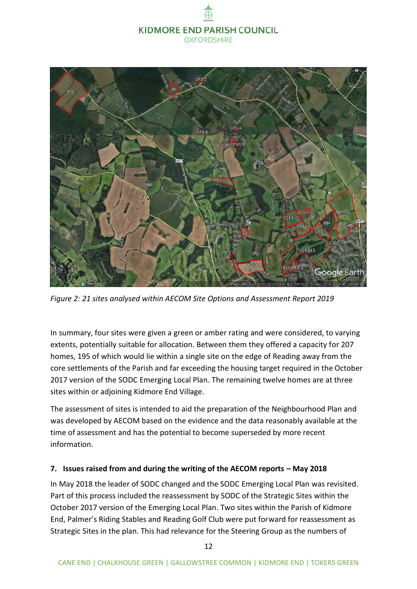

*Figure 2: 21 sites analysed within AECOM Site Options and Assessment Report 2019*

In summary, four sites were given a green or amber rating and were considered, to varying extents, potentially suitable for allocation. Between them they offered a capacity for 207 homes, 195 of which would lie within a single site on the edge of Reading away from the core settlements of the Parish and far exceeding the housing target required in the October 2017 version of the SODC Emerging Local Plan. The remaining twelve homes are at three sites within or adjoining Kidmore End Village.

The assessment of sites is intended to aid the preparation of the Neighbourhood Plan and was developed by AECOM based on the evidence and the data reasonably available at the time of assessment and has the potential to become superseded by more recent information.

#### <span id="page-11-0"></span>**7. Issues raised from and during the writing of the AECOM reports – May 2018**

In May 2018 the leader of SODC changed and the SODC Emerging Local Plan was revisited. Part of this process included the reassessment by SODC of the Strategic Sites within the October 2017 version of the Emerging Local Plan. Two sites within the Parish of Kidmore End, Palmer's Riding Stables and Reading Golf Club were put forward for reassessment as Strategic Sites in the plan. This had relevance for the Steering Group as the numbers of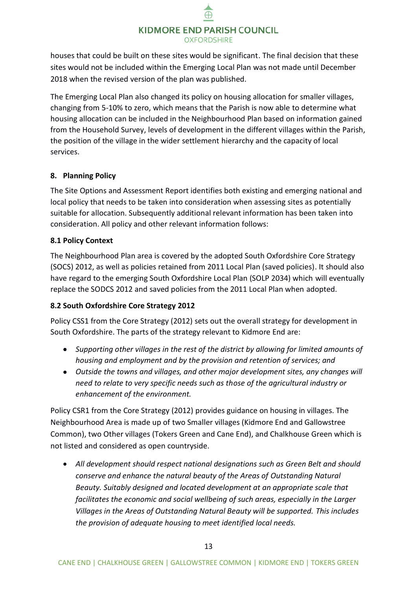houses that could be built on these sites would be significant. The final decision that these sites would not be included within the Emerging Local Plan was not made until December 2018 when the revised version of the plan was published.

The Emerging Local Plan also changed its policy on housing allocation for smaller villages, changing from 5-10% to zero, which means that the Parish is now able to determine what housing allocation can be included in the Neighbourhood Plan based on information gained from the Household Survey, levels of development in the different villages within the Parish, the position of the village in the wider settlement hierarchy and the capacity of local services.

#### <span id="page-12-0"></span>**8. Planning Policy**

The Site Options and Assessment Report identifies both existing and emerging national and local policy that needs to be taken into consideration when assessing sites as potentially suitable for allocation. Subsequently additional relevant information has been taken into consideration. All policy and other relevant information follows:

#### <span id="page-12-1"></span>**8.1 Policy Context**

The Neighbourhood Plan area is covered by the adopted South Oxfordshire Core Strategy (SOCS) 2012, as well as policies retained from 2011 Local Plan (saved policies). It should also have regard to the emerging South Oxfordshire Local Plan (SOLP 2034) which will eventually replace the SODCS 2012 and saved policies from the 2011 Local Plan when adopted.

#### <span id="page-12-2"></span>**8.2 South Oxfordshire Core Strategy 2012**

Policy CSS1 from the Core Strategy (2012) sets out the overall strategy for development in South Oxfordshire. The parts of the strategy relevant to Kidmore End are:

- *Supporting other villages in the rest of the district by allowing for limited amounts of housing and employment and by the provision and retention of services; and*
- *Outside the towns and villages, and other major development sites, any changes will need to relate to very specific needs such as those of the agricultural industry or enhancement of the environment.*

Policy CSR1 from the Core Strategy (2012) provides guidance on housing in villages. The Neighbourhood Area is made up of two Smaller villages (Kidmore End and Gallowstree Common), two Other villages (Tokers Green and Cane End), and Chalkhouse Green which is not listed and considered as open countryside.

• *All development should respect national designations such as Green Belt and should conserve and enhance the natural beauty of the Areas of Outstanding Natural Beauty. Suitably designed and located development at an appropriate scale that facilitates the economic and social wellbeing of such areas, especially in the Larger Villages in the Areas of Outstanding Natural Beauty will be supported. This includes the provision of adequate housing to meet identified local needs.*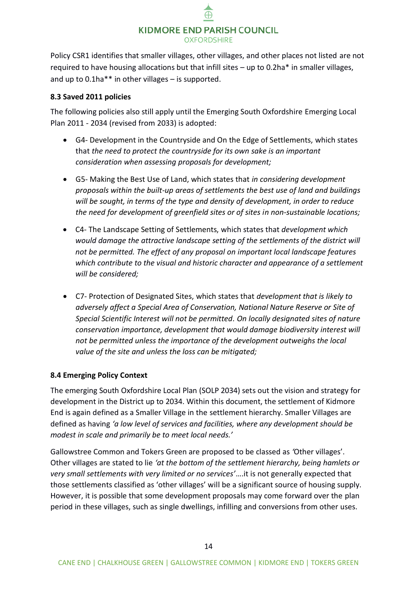Policy CSR1 identifies that smaller villages, other villages, and other places not listed are not required to have housing allocations but that infill sites – up to 0.2ha\* in smaller villages, and up to 0.1ha\*\* in other villages – is supported.

#### <span id="page-13-0"></span>**8.3 Saved 2011 policies**

The following policies also still apply until the Emerging South Oxfordshire Emerging Local Plan 2011 - 2034 (revised from 2033) is adopted:

- G4- Development in the Countryside and On the Edge of Settlements, which states that *the need to protect the countryside for its own sake is an important consideration when assessing proposals for development;*
- G5- Making the Best Use of Land, which states that *in considering development proposals within the built-up areas of settlements the best use of land and buildings will be sought, in terms of the type and density of development, in order to reduce the need for development of greenfield sites or of sites in non-sustainable locations;*
- C4- The Landscape Setting of Settlements, which states that *development which would damage the attractive landscape setting of the settlements of the district will not be permitted. The effect of any proposal on important local landscape features which contribute to the visual and historic character and appearance of a settlement will be considered;*
- C7- Protection of Designated Sites, which states that *development that is likely to adversely affect a Special Area of Conservation, National Nature Reserve or Site of Special Scientific Interest will not be permitted. On locally designated sites of nature conservation importance, development that would damage biodiversity interest will not be permitted unless the importance of the development outweighs the local value of the site and unless the loss can be mitigated;*

#### <span id="page-13-1"></span>**8.4 Emerging Policy Context**

The emerging South Oxfordshire Local Plan (SOLP 2034) sets out the vision and strategy for development in the District up to 2034. Within this document, the settlement of Kidmore End is again defined as a Smaller Village in the settlement hierarchy. Smaller Villages are defined as having *'a low level of services and facilities, where any development should be modest in scale and primarily be to meet local needs.'*

Gallowstree Common and Tokers Green are proposed to be classed as *'*Other villages'. Other villages are stated to lie *'at the bottom of the settlement hierarchy, being hamlets or very small settlements with very limited or no services'*….it is not generally expected that those settlements classified as 'other villages' will be a significant source of housing supply. However, it is possible that some development proposals may come forward over the plan period in these villages, such as single dwellings, infilling and conversions from other uses.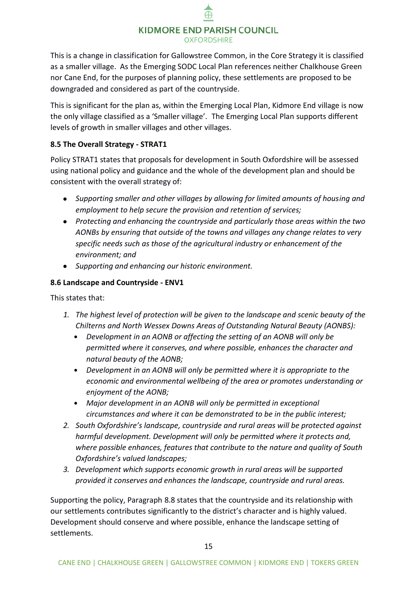This is a change in classification for Gallowstree Common, in the Core Strategy it is classified as a smaller village. As the Emerging SODC Local Plan references neither Chalkhouse Green nor Cane End, for the purposes of planning policy, these settlements are proposed to be downgraded and considered as part of the countryside.

This is significant for the plan as, within the Emerging Local Plan, Kidmore End village is now the only village classified as a 'Smaller village'. The Emerging Local Plan supports different levels of growth in smaller villages and other villages.

#### <span id="page-14-0"></span>**8.5 The Overall Strategy - STRAT1**

Policy STRAT1 states that proposals for development in South Oxfordshire will be assessed using national policy and guidance and the whole of the development plan and should be consistent with the overall strategy of:

- *Supporting smaller and other villages by allowing for limited amounts of housing and employment to help secure the provision and retention of services;*
- *Protecting and enhancing the countryside and particularly those areas within the two AONBs by ensuring that outside of the towns and villages any change relates to very specific needs such as those of the agricultural industry or enhancement of the environment; and*
- *Supporting and enhancing our historic environment.*

#### <span id="page-14-1"></span>**8.6 Landscape and Countryside - ENV1**

This states that:

- *1. The highest level of protection will be given to the landscape and scenic beauty of the Chilterns and North Wessex Downs Areas of Outstanding Natural Beauty (AONBS):*
	- **•** *Development in an AONB or affecting the setting of an AONB will only be permitted where it conserves, and where possible, enhances the character and natural beauty of the AONB;*
	- **•** *Development in an AONB will only be permitted where it is appropriate to the economic and environmental wellbeing of the area or promotes understanding or enjoyment of the AONB;*
	- **•** *Major development in an AONB will only be permitted in exceptional circumstances and where it can be demonstrated to be in the public interest;*
- *2. South Oxfordshire's landscape, countryside and rural areas will be protected against harmful development. Development will only be permitted where it protects and, where possible enhances, features that contribute to the nature and quality of South Oxfordshire's valued landscapes;*
- *3. Development which supports economic growth in rural areas will be supported provided it conserves and enhances the landscape, countryside and rural areas.*

Supporting the policy, Paragraph 8.8 states that the countryside and its relationship with our settlements contributes significantly to the district's character and is highly valued. Development should conserve and where possible, enhance the landscape setting of settlements.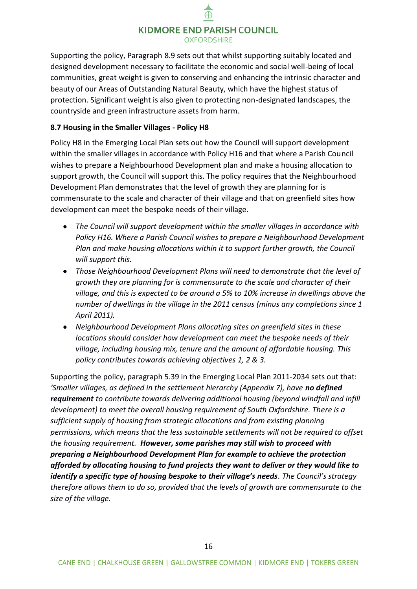Supporting the policy, Paragraph 8.9 sets out that whilst supporting suitably located and designed development necessary to facilitate the economic and social well-being of local communities, great weight is given to conserving and enhancing the intrinsic character and beauty of our Areas of Outstanding Natural Beauty, which have the highest status of protection. Significant weight is also given to protecting non-designated landscapes, the countryside and green infrastructure assets from harm.

#### <span id="page-15-0"></span>**8.7 Housing in the Smaller Villages - Policy H8**

Policy H8 in the Emerging Local Plan sets out how the Council will support development within the smaller villages in accordance with Policy H16 and that where a Parish Council wishes to prepare a Neighbourhood Development plan and make a housing allocation to support growth, the Council will support this. The policy requires that the Neighbourhood Development Plan demonstrates that the level of growth they are planning for is commensurate to the scale and character of their village and that on greenfield sites how development can meet the bespoke needs of their village.

- *The Council will support development within the smaller villages in accordance with Policy H16. Where a Parish Council wishes to prepare a Neighbourhood Development Plan and make housing allocations within it to support further growth, the Council will support this.*
- *Those Neighbourhood Development Plans will need to demonstrate that the level of growth they are planning for is commensurate to the scale and character of their village, and this is expected to be around a 5% to 10% increase in dwellings above the number of dwellings in the village in the 2011 census (minus any completions since 1 April 2011).*
- *Neighbourhood Development Plans allocating sites on greenfield sites in these locations should consider how development can meet the bespoke needs of their village, including housing mix, tenure and the amount of affordable housing. This policy contributes towards achieving objectives 1, 2 & 3.*

Supporting the policy, paragraph 5.39 in the Emerging Local Plan 2011-2034 sets out that: '*Smaller villages, as defined in the settlement hierarchy (Appendix 7), have no defined requirement to contribute towards delivering additional housing (beyond windfall and infill development) to meet the overall housing requirement of South Oxfordshire. There is a sufficient supply of housing from strategic allocations and from existing planning permissions, which means that the less sustainable settlements will not be required to offset the housing requirement. However, some parishes may still wish to proceed with preparing a Neighbourhood Development Plan for example to achieve the protection afforded by allocating housing to fund projects they want to deliver or they would like to identify a specific type of housing bespoke to their village's needs. The Council's strategy therefore allows them to do so, provided that the levels of growth are commensurate to the size of the village.*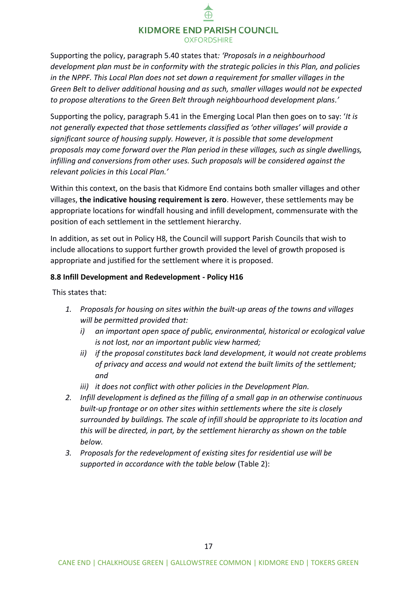Supporting the policy, paragraph 5.40 states that*: 'Proposals in a neighbourhood development plan must be in conformity with the strategic policies in this Plan, and policies in the NPPF. This Local Plan does not set down a requirement for smaller villages in the Green Belt to deliver additional housing and as such, smaller villages would not be expected to propose alterations to the Green Belt through neighbourhood development plans.'*

Supporting the policy, paragraph 5.41 in the Emerging Local Plan then goes on to say: '*It is not generally expected that those settlements classified as 'other villages' will provide a significant source of housing supply. However, it is possible that some development proposals may come forward over the Plan period in these villages, such as single dwellings, infilling and conversions from other uses. Such proposals will be considered against the relevant policies in this Local Plan.'*

Within this context, on the basis that Kidmore End contains both smaller villages and other villages, **the indicative housing requirement is zero**. However, these settlements may be appropriate locations for windfall housing and infill development, commensurate with the position of each settlement in the settlement hierarchy.

In addition, as set out in Policy H8, the Council will support Parish Councils that wish to include allocations to support further growth provided the level of growth proposed is appropriate and justified for the settlement where it is proposed.

#### <span id="page-16-0"></span>**8.8 Infill Development and Redevelopment - Policy H16**

This states that:

- *1. Proposals for housing on sites within the built-up areas of the towns and villages will be permitted provided that:*
	- *i) an important open space of public, environmental, historical or ecological value is not lost, nor an important public view harmed;*
	- *ii) if the proposal constitutes back land development, it would not create problems of privacy and access and would not extend the built limits of the settlement; and*
	- *iii) it does not conflict with other policies in the Development Plan.*
- *2. Infill development is defined as the filling of a small gap in an otherwise continuous built-up frontage or on other sites within settlements where the site is closely surrounded by buildings. The scale of infill should be appropriate to its location and this will be directed, in part, by the settlement hierarchy as shown on the table below.*
- *3. Proposals for the redevelopment of existing sites for residential use will be supported in accordance with the table below* (Table 2):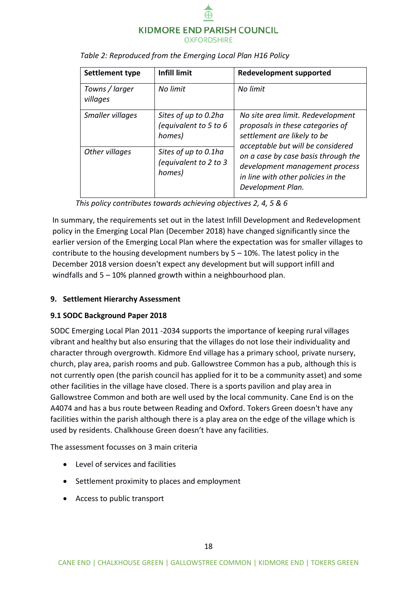

| Settlement type            | <b>Infill limit</b>                                     | <b>Redevelopment supported</b>                                                                                                            |
|----------------------------|---------------------------------------------------------|-------------------------------------------------------------------------------------------------------------------------------------------|
| Towns / larger<br>villages | No limit                                                | No limit                                                                                                                                  |
| Smaller villages           | Sites of up to 0.2ha<br>(equivalent to 5 to 6<br>homes) | No site area limit. Redevelopment<br>proposals in these categories of<br>settlement are likely to be<br>acceptable but will be considered |
| Other villages             | Sites of up to 0.1ha<br>(equivalent to 2 to 3<br>homes) | on a case by case basis through the<br>development management process<br>in line with other policies in the<br>Development Plan.          |

#### *Table 2: Reproduced from the Emerging Local Plan H16 Policy*

*This policy contributes towards achieving objectives 2, 4, 5 & 6* 

In summary, the requirements set out in the latest Infill Development and Redevelopment policy in the Emerging Local Plan (December 2018) have changed significantly since the earlier version of the Emerging Local Plan where the expectation was for smaller villages to contribute to the housing development numbers by  $5 - 10\%$ . The latest policy in the December 2018 version doesn't expect any development but will support infill and windfalls and 5 – 10% planned growth within a neighbourhood plan.

#### <span id="page-17-0"></span>**9. Settlement Hierarchy Assessment**

#### <span id="page-17-1"></span>**9.1 SODC Background Paper 2018**

SODC Emerging Local Plan 2011 -2034 supports the importance of keeping rural villages vibrant and healthy but also ensuring that the villages do not lose their individuality and character through overgrowth. Kidmore End village has a primary school, private nursery, church, play area, parish rooms and pub. Gallowstree Common has a pub, although this is not currently open (the parish council has applied for it to be a community asset) and some other facilities in the village have closed. There is a sports pavilion and play area in Gallowstree Common and both are well used by the local community. Cane End is on the A4074 and has a bus route between Reading and Oxford. Tokers Green doesn't have any facilities within the parish although there is a play area on the edge of the village which is used by residents. Chalkhouse Green doesn't have any facilities.

The assessment focusses on 3 main criteria

- Level of services and facilities
- Settlement proximity to places and employment
- Access to public transport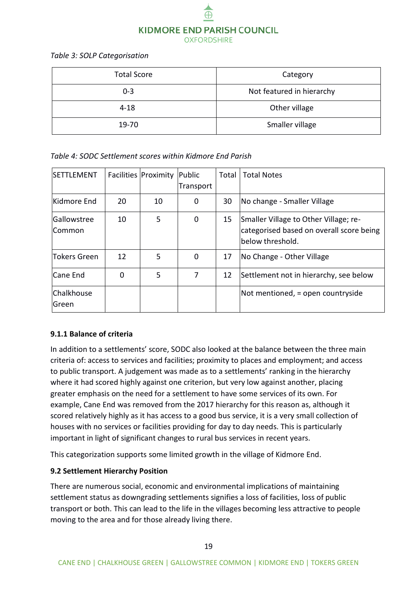

*Table 3: SOLP Categorisation*

| <b>Total Score</b> | Category                  |
|--------------------|---------------------------|
| $0 - 3$            | Not featured in hierarchy |
| $4 - 18$           | Other village             |
| 19-70              | Smaller village           |

*Table 4: SODC Settlement scores within Kidmore End Parish*

| SETTLEMENT             |    | Facilities Proximity | Public<br>Transport | Total | <b>Total Notes</b>                                                                                    |
|------------------------|----|----------------------|---------------------|-------|-------------------------------------------------------------------------------------------------------|
| Kidmore End            | 20 | 10                   | 0                   | 30    | No change - Smaller Village                                                                           |
| Gallowstree<br> Common | 10 | 5                    | 0                   | 15    | Smaller Village to Other Village; re-<br>categorised based on overall score being<br>below threshold. |
| <b>Tokers Green</b>    | 12 | 5                    | 0                   | 17    | No Change - Other Village                                                                             |
| Cane End               | 0  | 5                    | 7                   | 12    | Settlement not in hierarchy, see below                                                                |
| Chalkhouse<br>Green    |    |                      |                     |       | Not mentioned, = open countryside                                                                     |

#### <span id="page-18-0"></span>**9.1.1 Balance of criteria**

In addition to a settlements' score, SODC also looked at the balance between the three main criteria of: access to services and facilities; proximity to places and employment; and access to public transport. A judgement was made as to a settlements' ranking in the hierarchy where it had scored highly against one criterion, but very low against another, placing greater emphasis on the need for a settlement to have some services of its own. For example, Cane End was removed from the 2017 hierarchy for this reason as, although it scored relatively highly as it has access to a good bus service, it is a very small collection of houses with no services or facilities providing for day to day needs. This is particularly important in light of significant changes to rural bus services in recent years.

This categorization supports some limited growth in the village of Kidmore End.

#### <span id="page-18-1"></span>**9.2 Settlement Hierarchy Position**

There are numerous social, economic and environmental implications of maintaining settlement status as downgrading settlements signifies a loss of facilities, loss of public transport or both. This can lead to the life in the villages becoming less attractive to people moving to the area and for those already living there.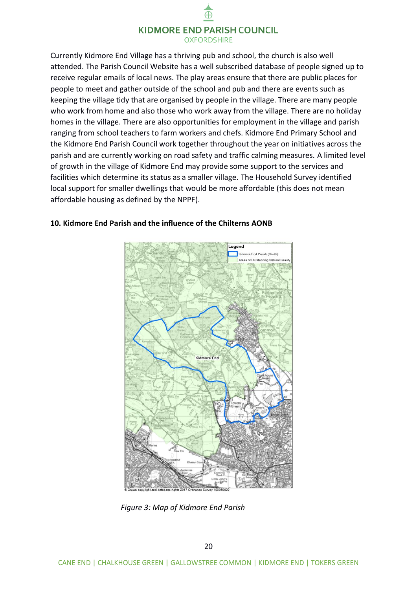Currently Kidmore End Village has a thriving pub and school, the church is also well attended. The Parish Council Website has a well subscribed database of people signed up to receive regular emails of local news. The play areas ensure that there are public places for people to meet and gather outside of the school and pub and there are events such as keeping the village tidy that are organised by people in the village. There are many people who work from home and also those who work away from the village. There are no holiday homes in the village. There are also opportunities for employment in the village and parish ranging from school teachers to farm workers and chefs. Kidmore End Primary School and the Kidmore End Parish Council work together throughout the year on initiatives across the parish and are currently working on road safety and traffic calming measures. A limited level of growth in the village of Kidmore End may provide some support to the services and facilities which determine its status as a smaller village. The Household Survey identified local support for smaller dwellings that would be more affordable (this does not mean affordable housing as defined by the NPPF).



#### <span id="page-19-0"></span>**10. Kidmore End Parish and the influence of the Chilterns AONB**

*Figure 3: Map of Kidmore End Parish*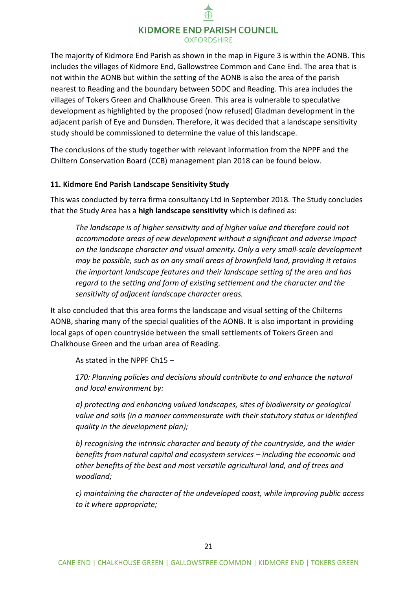The majority of Kidmore End Parish as shown in the map in Figure 3 is within the AONB. This includes the villages of Kidmore End, Gallowstree Common and Cane End. The area that is not within the AONB but within the setting of the AONB is also the area of the parish nearest to Reading and the boundary between SODC and Reading. This area includes the villages of Tokers Green and Chalkhouse Green. This area is vulnerable to speculative development as highlighted by the proposed (now refused) Gladman development in the adjacent parish of Eye and Dunsden. Therefore, it was decided that a landscape sensitivity study should be commissioned to determine the value of this landscape.

The conclusions of the study together with relevant information from the NPPF and the Chiltern Conservation Board (CCB) management plan 2018 can be found below.

#### <span id="page-20-0"></span>**11. Kidmore End Parish Landscape Sensitivity Study**

This was conducted by terra firma consultancy Ltd in September 2018. The Study concludes that the Study Area has a **high landscape sensitivity** which is defined as:

*The landscape is of higher sensitivity and of higher value and therefore could not accommodate areas of new development without a significant and adverse impact on the landscape character and visual amenity. Only a very small-scale development may be possible, such as on any small areas of brownfield land, providing it retains the important landscape features and their landscape setting of the area and has regard to the setting and form of existing settlement and the character and the sensitivity of adjacent landscape character areas.* 

It also concluded that this area forms the landscape and visual setting of the Chilterns AONB, sharing many of the special qualities of the AONB. It is also important in providing local gaps of open countryside between the small settlements of Tokers Green and Chalkhouse Green and the urban area of Reading.

As stated in the NPPF Ch15 –

*170: Planning policies and decisions should contribute to and enhance the natural and local environment by:*

*a) protecting and enhancing valued landscapes, sites of biodiversity or geological value and soils (in a manner commensurate with their statutory status or identified quality in the development plan);*

*b) recognising the intrinsic character and beauty of the countryside, and the wider benefits from natural capital and ecosystem services – including the economic and other benefits of the best and most versatile agricultural land, and of trees and woodland;*

*c) maintaining the character of the undeveloped coast, while improving public access to it where appropriate;*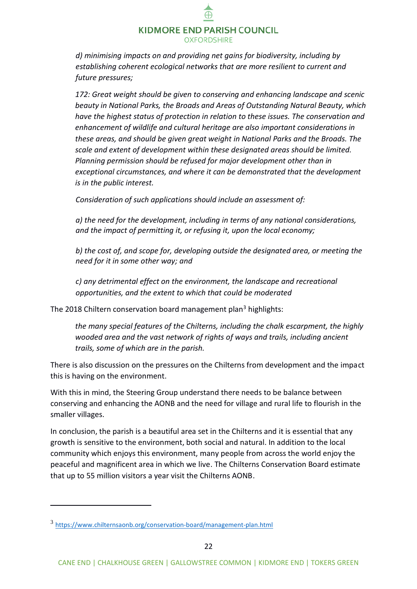*d) minimising impacts on and providing net gains for biodiversity, including by establishing coherent ecological networks that are more resilient to current and future pressures;*

*172: Great weight should be given to conserving and enhancing landscape and scenic beauty in National Parks, the Broads and Areas of Outstanding Natural Beauty, which have the highest status of protection in relation to these issues. The conservation and enhancement of wildlife and cultural heritage are also important considerations in these areas, and should be given great weight in National Parks and the Broads. The scale and extent of development within these designated areas should be limited. Planning permission should be refused for major development other than in exceptional circumstances, and where it can be demonstrated that the development is in the public interest.* 

*Consideration of such applications should include an assessment of:*

*a) the need for the development, including in terms of any national considerations, and the impact of permitting it, or refusing it, upon the local economy;*

*b) the cost of, and scope for, developing outside the designated area, or meeting the need for it in some other way; and*

*c) any detrimental effect on the environment, the landscape and recreational opportunities, and the extent to which that could be moderated*

The 2018 Chiltern conservation board management plan<sup>3</sup> highlights:

*the many special features of the Chilterns, including the chalk escarpment, the highly wooded area and the vast network of rights of ways and trails, including ancient trails, some of which are in the parish.* 

There is also discussion on the pressures on the Chilterns from development and the impact this is having on the environment.

With this in mind, the Steering Group understand there needs to be balance between conserving and enhancing the AONB and the need for village and rural life to flourish in the smaller villages.

In conclusion, the parish is a beautiful area set in the Chilterns and it is essential that any growth is sensitive to the environment, both social and natural. In addition to the local community which enjoys this environment, many people from across the world enjoy the peaceful and magnificent area in which we live. The Chilterns Conservation Board estimate that up to 55 million visitors a year visit the Chilterns AONB.

-

<sup>3</sup> <https://www.chilternsaonb.org/conservation-board/management-plan.html>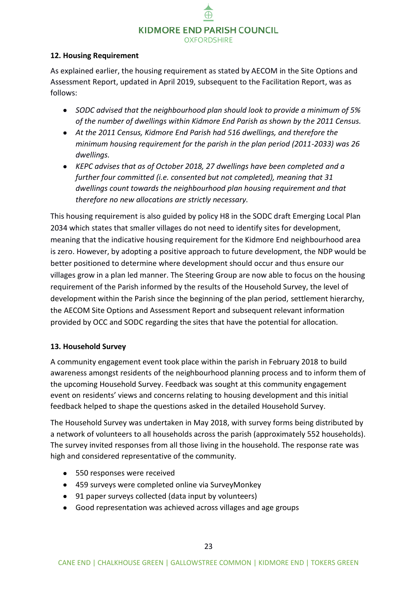#### <span id="page-22-0"></span>**12. Housing Requirement**

As explained earlier, the housing requirement as stated by AECOM in the Site Options and Assessment Report, updated in April 2019, subsequent to the Facilitation Report, was as follows:

- *SODC advised that the neighbourhood plan should look to provide a minimum of 5% of the number of dwellings within Kidmore End Parish as shown by the 2011 Census.*
- *At the 2011 Census, Kidmore End Parish had 516 dwellings, and therefore the minimum housing requirement for the parish in the plan period (2011-2033) was 26 dwellings.*
- *KEPC advises that as of October 2018, 27 dwellings have been completed and a further four committed (i.e. consented but not completed), meaning that 31 dwellings count towards the neighbourhood plan housing requirement and that therefore no new allocations are strictly necessary.*

This housing requirement is also guided by policy H8 in the SODC draft Emerging Local Plan 2034 which states that smaller villages do not need to identify sites for development, meaning that the indicative housing requirement for the Kidmore End neighbourhood area is zero. However, by adopting a positive approach to future development, the NDP would be better positioned to determine where development should occur and thus ensure our villages grow in a plan led manner. The Steering Group are now able to focus on the housing requirement of the Parish informed by the results of the Household Survey, the level of development within the Parish since the beginning of the plan period, settlement hierarchy, the AECOM Site Options and Assessment Report and subsequent relevant information provided by OCC and SODC regarding the sites that have the potential for allocation.

#### <span id="page-22-1"></span>**13. Household Survey**

A community engagement event took place within the parish in February 2018 to build awareness amongst residents of the neighbourhood planning process and to inform them of the upcoming Household Survey. Feedback was sought at this community engagement event on residents' views and concerns relating to housing development and this initial feedback helped to shape the questions asked in the detailed Household Survey.

The Household Survey was undertaken in May 2018, with survey forms being distributed by a network of volunteers to all households across the parish (approximately 552 households). The survey invited responses from all those living in the household. The response rate was high and considered representative of the community.

- 550 responses were received
- 459 surveys were completed online via SurveyMonkey
- 91 paper surveys collected (data input by volunteers)
- Good representation was achieved across villages and age groups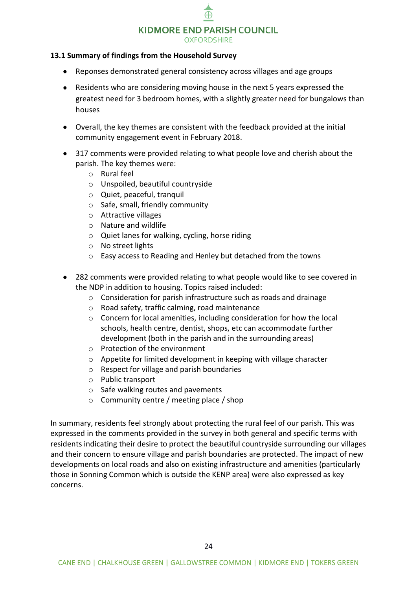#### KIDMORE END PARISH COUNCIL

**OXFORDSHIRE** 

#### <span id="page-23-0"></span>**13.1 Summary of findings from the Household Survey**

- Reponses demonstrated general consistency across villages and age groups
- Residents who are considering moving house in the next 5 years expressed the greatest need for 3 bedroom homes, with a slightly greater need for bungalows than houses
- Overall, the key themes are consistent with the feedback provided at the initial community engagement event in February 2018.
- 317 comments were provided relating to what people love and cherish about the parish. The key themes were:
	- o Rural feel
	- o Unspoiled, beautiful countryside
	- o Quiet, peaceful, tranquil
	- o Safe, small, friendly community
	- o Attractive villages
	- o Nature and wildlife
	- o Quiet lanes for walking, cycling, horse riding
	- o No street lights
	- o Easy access to Reading and Henley but detached from the towns
- 282 comments were provided relating to what people would like to see covered in the NDP in addition to housing. Topics raised included:
	- o Consideration for parish infrastructure such as roads and drainage
	- o Road safety, traffic calming, road maintenance
	- o Concern for local amenities, including consideration for how the local schools, health centre, dentist, shops, etc can accommodate further development (both in the parish and in the surrounding areas)
	- o Protection of the environment
	- o Appetite for limited development in keeping with village character
	- o Respect for village and parish boundaries
	- o Public transport
	- o Safe walking routes and pavements
	- o Community centre / meeting place / shop

In summary, residents feel strongly about protecting the rural feel of our parish. This was expressed in the comments provided in the survey in both general and specific terms with residents indicating their desire to protect the beautiful countryside surrounding our villages and their concern to ensure village and parish boundaries are protected. The impact of new developments on local roads and also on existing infrastructure and amenities (particularly those in Sonning Common which is outside the KENP area) were also expressed as key concerns.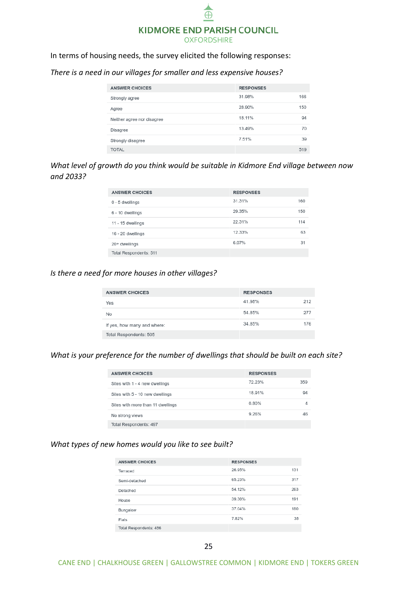

In terms of housing needs, the survey elicited the following responses:

| <b>ANSWER CHOICES</b>      | <b>RESPONSES</b> |     |
|----------------------------|------------------|-----|
| Strongly agree             | 31.98%           | 166 |
| Agree                      | 28.90%           | 150 |
| Neither agree nor disagree | 18.11%           | 94  |
| Disagree                   | 13.49%           | 70  |
| Strongly disagree          | 7.51%            | 39  |
| <b>TOTAL</b>               |                  | 519 |

*There is a need in our villages for smaller and less expensive houses?*

*What level of growth do you think would be suitable in Kidmore End village between now and 2033?*

| <b>ANSWER CHOICES</b>  | <b>RESPONSES</b> |     |
|------------------------|------------------|-----|
| 0 - 5 dwellings        | 31.31%           | 160 |
| 6 - 10 dwellings       | 29.35%           | 150 |
| 11 - 15 dwellings      | 22.31%           | 114 |
| 16 - 20 dwellings      | 12.33%           | 63  |
| 20+ dwellings          | 6.07%            | 31  |
| Total Respondents: 511 |                  |     |

#### *Is there a need for more houses in other villages?*

| <b>ANSWER CHOICES</b>       | <b>RESPONSES</b> |     |
|-----------------------------|------------------|-----|
| Yes                         | 41.98%           | 212 |
| No                          | 54.85%           | 277 |
| If yes, how many and where: | 34.85%           | 176 |
| Total Respondents: 505      |                  |     |

#### *What is your preference for the number of dwellings that should be built on each site?*

| <b>ANSWER CHOICES</b>             | <b>RESPONSES</b> |     |
|-----------------------------------|------------------|-----|
| Sites with 1 - 4 new dwellings    | 72.23%           | 359 |
| Sites with 5 - 10 new dwellings   | 18.91%           | 94  |
| Sites with more than 11 dwellings | 0.80%            |     |
| No strong views                   | 9.26%            | 46  |
| Total Respondents: 497            |                  |     |

#### *What types of new homes would you like to see built?*

| <b>ANSWER CHOICES</b>  | <b>RESPONSES</b> |     |
|------------------------|------------------|-----|
| Terraced               | 26.95%           | 131 |
| Semi-detached          | 65.23%           | 317 |
| Detached               | 54.12%           | 263 |
| House                  | 39.30%           | 191 |
| Bungalow               | 37.04%           | 180 |
| Flats                  | 7.82%            | 38  |
| Total Respondents: 486 |                  |     |

CANE END | CHALKHOUSE GREEN | GALLOWSTREE COMMON | KIDMORE END | TOKERS GREEN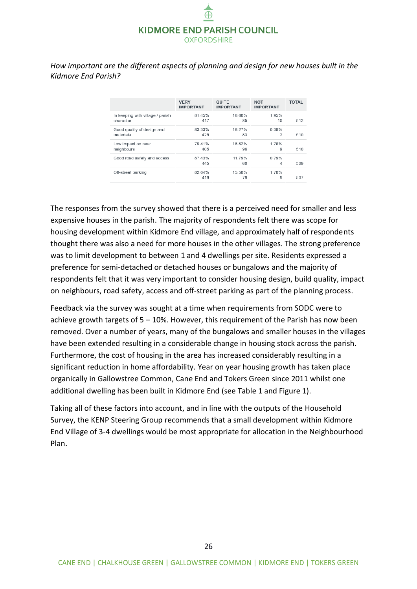*How important are the different aspects of planning and design for new houses built in the Kidmore End Parish?*

|                                  | <b>VERY</b><br><b>IMPORTANT</b> | <b>QUITE</b><br><b>IMPORTANT</b> | <b>NOT</b><br><b>IMPORTANT</b> | <b>TOTAL</b> |
|----------------------------------|---------------------------------|----------------------------------|--------------------------------|--------------|
| In keeping with village / parish | 81.45%                          | 16.60%                           | 1.95%                          | 512          |
| character                        | 417                             | 85                               | 10                             |              |
| Good quality of design and       | 83.33%                          | 16.27%                           | 0.39%                          | 510          |
| materials                        | 425                             | 83                               | 2                              |              |
| Low impact on near               | 79.41%                          | 18.82%                           | 1.76%                          | 510          |
| neighbours                       | 405                             | 96                               | 9                              |              |
| Good road safety and access      | 87.43%<br>445                   | 11.79%<br>60                     | 0.79%<br>4                     | 509          |
| Off-street parking               | 82.64%<br>419                   | 15.58%<br>79                     | 1.78%<br>9                     | 507          |

The responses from the survey showed that there is a perceived need for smaller and less expensive houses in the parish. The majority of respondents felt there was scope for housing development within Kidmore End village, and approximately half of respondents thought there was also a need for more houses in the other villages. The strong preference was to limit development to between 1 and 4 dwellings per site. Residents expressed a preference for semi-detached or detached houses or bungalows and the majority of respondents felt that it was very important to consider housing design, build quality, impact on neighbours, road safety, access and off-street parking as part of the planning process.

Feedback via the survey was sought at a time when requirements from SODC were to achieve growth targets of  $5 - 10$ %. However, this requirement of the Parish has now been removed. Over a number of years, many of the bungalows and smaller houses in the villages have been extended resulting in a considerable change in housing stock across the parish. Furthermore, the cost of housing in the area has increased considerably resulting in a significant reduction in home affordability. Year on year housing growth has taken place organically in Gallowstree Common, Cane End and Tokers Green since 2011 whilst one additional dwelling has been built in Kidmore End (see Table 1 and Figure 1).

Taking all of these factors into account, and in line with the outputs of the Household Survey, the KENP Steering Group recommends that a small development within Kidmore End Village of 3-4 dwellings would be most appropriate for allocation in the Neighbourhood Plan.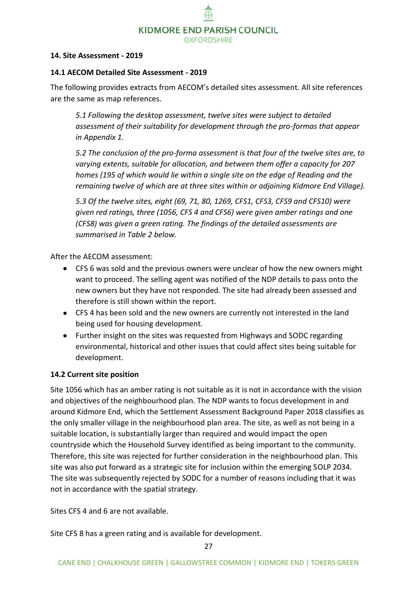#### <span id="page-26-0"></span>**14. Site Assessment - 2019**

#### <span id="page-26-1"></span>**14.1 AECOM Detailed Site Assessment - 2019**

The following provides extracts from AECOM's detailed sites assessment. All site references are the same as map references.

*5.1 Following the desktop assessment, twelve sites were subject to detailed assessment of their suitability for development through the pro-formas that appear in Appendix 1.* 

*5.2 The conclusion of the pro-forma assessment is that four of the twelve sites are, to varying extents, suitable for allocation, and between them offer a capacity for 207 homes (195 of which would lie within a single site on the edge of Reading and the remaining twelve of which are at three sites within or adjoining Kidmore End Village).* 

*5.3 Of the twelve sites, eight (69, 71, 80, 1269, CFS1, CFS3, CFS9 and CFS10) were given red ratings, three (1056, CFS 4 and CFS6) were given amber ratings and one (CFS8) was given a green rating. The findings of the detailed assessments are summarised in Table 2 below.*

After the AECOM assessment:

- CFS 6 was sold and the previous owners were unclear of how the new owners might want to proceed. The selling agent was notified of the NDP details to pass onto the new owners but they have not responded. The site had already been assessed and therefore is still shown within the report.
- CFS 4 has been sold and the new owners are currently not interested in the land being used for housing development.
- Further insight on the sites was requested from Highways and SODC regarding environmental, historical and other issues that could affect sites being suitable for development.

#### <span id="page-26-2"></span>**14.2 Current site position**

Site 1056 which has an amber rating is not suitable as it is not in accordance with the vision and objectives of the neighbourhood plan. The NDP wants to focus development in and around Kidmore End, which the Settlement Assessment Background Paper 2018 classifies as the only smaller village in the neighbourhood plan area. The site, as well as not being in a suitable location, is substantially larger than required and would impact the open countryside which the Household Survey identified as being important to the community. Therefore, this site was rejected for further consideration in the neighbourhood plan. This site was also put forward as a strategic site for inclusion within the emerging SOLP 2034. The site was subsequently rejected by SODC for a number of reasons including that it was not in accordance with the spatial strategy.

Sites CFS 4 and 6 are not available.

Site CFS 8 has a green rating and is available for development.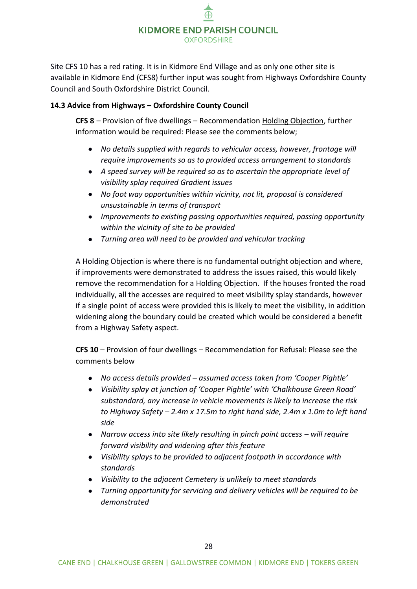

Site CFS 10 has a red rating. It is in Kidmore End Village and as only one other site is available in Kidmore End (CFS8) further input was sought from Highways Oxfordshire County Council and South Oxfordshire District Council.

#### <span id="page-27-0"></span>**14.3 Advice from Highways – Oxfordshire County Council**

**CFS 8** – Provision of five dwellings – Recommendation Holding Objection, further information would be required: Please see the comments below;

- *No details supplied with regards to vehicular access, however, frontage will require improvements so as to provided access arrangement to standards*
- *A speed survey will be required so as to ascertain the appropriate level of visibility splay required Gradient issues*
- *No foot way opportunities within vicinity, not lit, proposal is considered unsustainable in terms of transport*
- *Improvements to existing passing opportunities required, passing opportunity within the vicinity of site to be provided*
- *Turning area will need to be provided and vehicular tracking*

A Holding Objection is where there is no fundamental outright objection and where, if improvements were demonstrated to address the issues raised, this would likely remove the recommendation for a Holding Objection. If the houses fronted the road individually, all the accesses are required to meet visibility splay standards, however if a single point of access were provided this is likely to meet the visibility, in addition widening along the boundary could be created which would be considered a benefit from a Highway Safety aspect.

**CFS 10** – Provision of four dwellings – Recommendation for Refusal: Please see the comments below

- *No access details provided – assumed access taken from 'Cooper Pightle'*
- *Visibility splay at junction of 'Cooper Pightle' with 'Chalkhouse Green Road' substandard, any increase in vehicle movements is likely to increase the risk to Highway Safety – 2.4m x 17.5m to right hand side, 2.4m x 1.0m to left hand side*
- Narrow access into site likely resulting in pinch point access will require *forward visibility and widening after this feature*
- *Visibility splays to be provided to adjacent footpath in accordance with standards*
- *Visibility to the adjacent Cemetery is unlikely to meet standards*
- *Turning opportunity for servicing and delivery vehicles will be required to be demonstrated*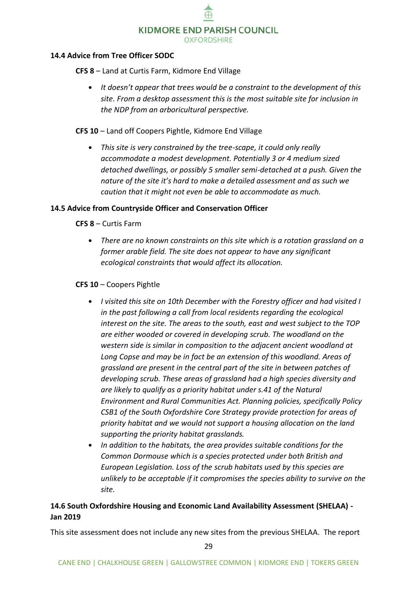#### <span id="page-28-0"></span>**14.4 Advice from Tree Officer SODC**

**CFS 8** – Land at Curtis Farm, Kidmore End Village

**•** *It doesn't appear that trees would be a constraint to the development of this site. From a desktop assessment this is the most suitable site for inclusion in the NDP from an arboricultural perspective.*

#### **CFS 10** – Land off Coopers Pightle, Kidmore End Village

**•** *This site is very constrained by the tree-scape, it could only really accommodate a modest development. Potentially 3 or 4 medium sized detached dwellings, or possibly 5 smaller semi-detached at a push. Given the nature of the site it's hard to make a detailed assessment and as such we caution that it might not even be able to accommodate as much.* 

#### <span id="page-28-1"></span>**14.5 Advice from Countryside Officer and Conservation Officer**

**CFS 8** – Curtis Farm

**•** *There are no known constraints on this site which is a rotation grassland on a former arable field. The site does not appear to have any significant ecological constraints that would affect its allocation.*

#### **CFS 10** – Coopers Pightle

- **•** *I visited this site on 10th December with the Forestry officer and had visited I in the past following a call from local residents regarding the ecological interest on the site. The areas to the south, east and west subject to the TOP are either wooded or covered in developing scrub. The woodland on the western side is similar in composition to the adjacent ancient woodland at Long Copse and may be in fact be an extension of this woodland. Areas of grassland are present in the central part of the site in between patches of developing scrub. These areas of grassland had a high species diversity and are likely to qualify as a priority habitat under s.41 of the Natural Environment and Rural Communities Act. Planning policies, specifically Policy CSB1 of the South Oxfordshire Core Strategy provide protection for areas of priority habitat and we would not support a housing allocation on the land supporting the priority habitat grasslands.*
- **•** *In addition to the habitats, the area provides suitable conditions for the Common Dormouse which is a species protected under both British and European Legislation. Loss of the scrub habitats used by this species are unlikely to be acceptable if it compromises the species ability to survive on the site.*

#### <span id="page-28-2"></span>**14.6 South Oxfordshire Housing and Economic Land Availability Assessment (SHELAA) - Jan 2019**

This site assessment does not include any new sites from the previous SHELAA. The report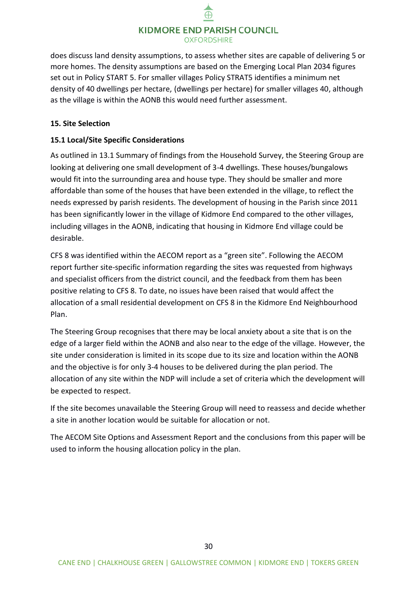does discuss land density assumptions, to assess whether sites are capable of delivering 5 or more homes. The density assumptions are based on the Emerging Local Plan 2034 figures set out in Policy START 5. For smaller villages Policy STRAT5 identifies a minimum net density of 40 dwellings per hectare, (dwellings per hectare) for smaller villages 40, although as the village is within the AONB this would need further assessment.

#### <span id="page-29-0"></span>**15. Site Selection**

#### <span id="page-29-1"></span>**15.1 Local/Site Specific Considerations**

As outlined in 13.1 Summary of findings from the Household Survey, the Steering Group are looking at delivering one small development of 3-4 dwellings. These houses/bungalows would fit into the surrounding area and house type. They should be smaller and more affordable than some of the houses that have been extended in the village, to reflect the needs expressed by parish residents. The development of housing in the Parish since 2011 has been significantly lower in the village of Kidmore End compared to the other villages, including villages in the AONB, indicating that housing in Kidmore End village could be desirable.

CFS 8 was identified within the AECOM report as a "green site". Following the AECOM report further site-specific information regarding the sites was requested from highways and specialist officers from the district council, and the feedback from them has been positive relating to CFS 8. To date, no issues have been raised that would affect the allocation of a small residential development on CFS 8 in the Kidmore End Neighbourhood Plan.

The Steering Group recognises that there may be local anxiety about a site that is on the edge of a larger field within the AONB and also near to the edge of the village. However, the site under consideration is limited in its scope due to its size and location within the AONB and the objective is for only 3-4 houses to be delivered during the plan period. The allocation of any site within the NDP will include a set of criteria which the development will be expected to respect.

If the site becomes unavailable the Steering Group will need to reassess and decide whether a site in another location would be suitable for allocation or not.

The AECOM Site Options and Assessment Report and the conclusions from this paper will be used to inform the housing allocation policy in the plan.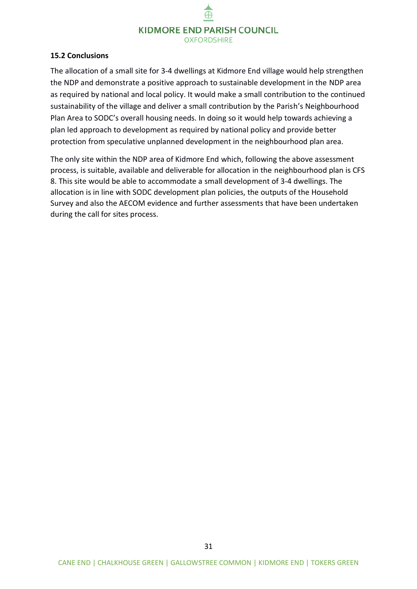#### <span id="page-30-0"></span>**15.2 Conclusions**

The allocation of a small site for 3-4 dwellings at Kidmore End village would help strengthen the NDP and demonstrate a positive approach to sustainable development in the NDP area as required by national and local policy. It would make a small contribution to the continued sustainability of the village and deliver a small contribution by the Parish's Neighbourhood Plan Area to SODC's overall housing needs. In doing so it would help towards achieving a plan led approach to development as required by national policy and provide better protection from speculative unplanned development in the neighbourhood plan area.

The only site within the NDP area of Kidmore End which, following the above assessment process, is suitable, available and deliverable for allocation in the neighbourhood plan is CFS 8. This site would be able to accommodate a small development of 3-4 dwellings. The allocation is in line with SODC development plan policies, the outputs of the Household Survey and also the AECOM evidence and further assessments that have been undertaken during the call for sites process.